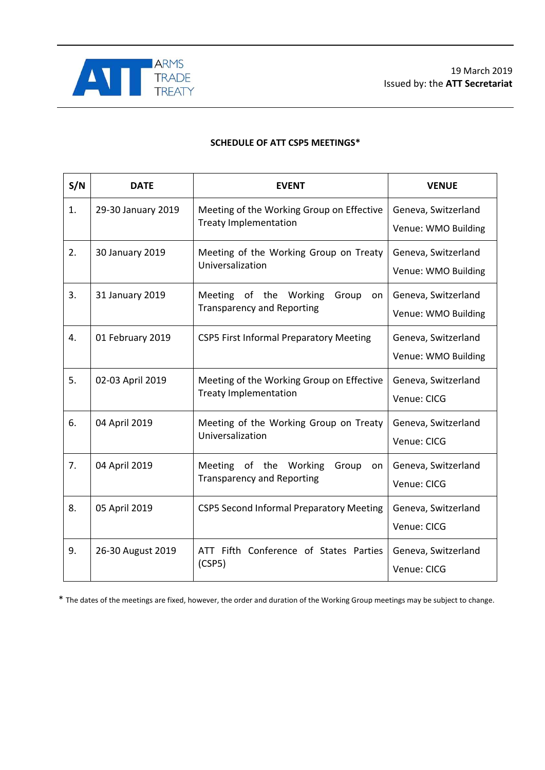

## **SCHEDULE OF ATT CSP5 MEETINGS\***

| S/N | <b>DATE</b>        | <b>EVENT</b>                                                                         | <b>VENUE</b>                               |
|-----|--------------------|--------------------------------------------------------------------------------------|--------------------------------------------|
| 1.  | 29-30 January 2019 | Meeting of the Working Group on Effective<br><b>Treaty Implementation</b>            | Geneva, Switzerland<br>Venue: WMO Building |
| 2.  | 30 January 2019    | Meeting of the Working Group on Treaty<br>Universalization                           | Geneva, Switzerland<br>Venue: WMO Building |
| 3.  | 31 January 2019    | of the Working<br><b>Meeting</b><br>Group<br>on<br><b>Transparency and Reporting</b> | Geneva, Switzerland<br>Venue: WMO Building |
| 4.  | 01 February 2019   | <b>CSP5 First Informal Preparatory Meeting</b>                                       | Geneva, Switzerland<br>Venue: WMO Building |
| 5.  | 02-03 April 2019   | Meeting of the Working Group on Effective<br><b>Treaty Implementation</b>            | Geneva, Switzerland<br>Venue: CICG         |
| 6.  | 04 April 2019      | Meeting of the Working Group on Treaty<br>Universalization                           | Geneva, Switzerland<br>Venue: CICG         |
| 7.  | 04 April 2019      | Meeting<br>of the Working<br>Group<br>on<br><b>Transparency and Reporting</b>        | Geneva, Switzerland<br>Venue: CICG         |
| 8.  | 05 April 2019      | <b>CSP5 Second Informal Preparatory Meeting</b>                                      | Geneva, Switzerland<br>Venue: CICG         |
| 9.  | 26-30 August 2019  | ATT Fifth Conference of States Parties<br>(CSP5)                                     | Geneva, Switzerland<br>Venue: CICG         |

\* The dates of the meetings are fixed, however, the order and duration of the Working Group meetings may be subject to change.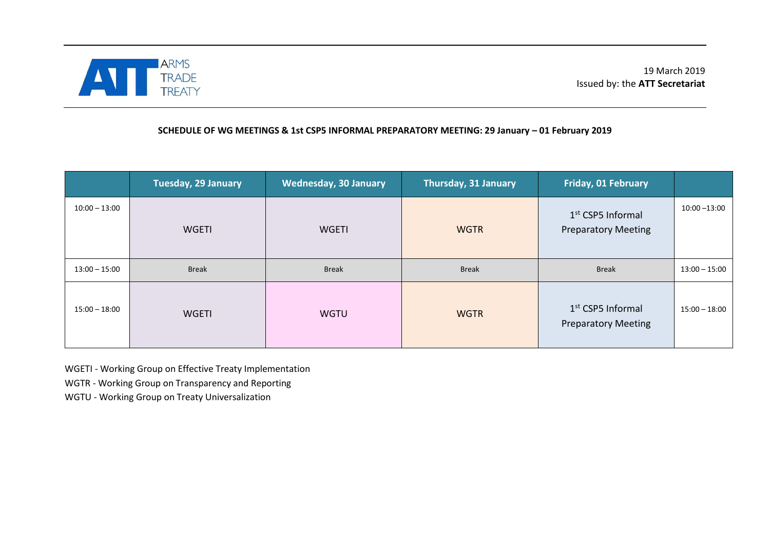

## **SCHEDULE OF WG MEETINGS & 1st CSP5 INFORMAL PREPARATORY MEETING: 29 January – 01 February 2019**

|                 | <b>Tuesday, 29 January</b> | <b>Wednesday, 30 January</b> | Thursday, 31 January | <b>Friday, 01 February</b>                                  |                 |
|-----------------|----------------------------|------------------------------|----------------------|-------------------------------------------------------------|-----------------|
| $10:00 - 13:00$ | <b>WGETI</b>               | <b>WGETI</b>                 | <b>WGTR</b>          | 1 <sup>st</sup> CSP5 Informal<br><b>Preparatory Meeting</b> | $10:00 - 13:00$ |
| $13:00 - 15:00$ | <b>Break</b>               | <b>Break</b>                 | <b>Break</b>         | <b>Break</b>                                                | $13:00 - 15:00$ |
| $15:00 - 18:00$ | <b>WGETI</b>               | <b>WGTU</b>                  | <b>WGTR</b>          | 1 <sup>st</sup> CSP5 Informal<br><b>Preparatory Meeting</b> | $15:00 - 18:00$ |

WGETI - Working Group on Effective Treaty Implementation

WGTR - Working Group on Transparency and Reporting

WGTU - Working Group on Treaty Universalization